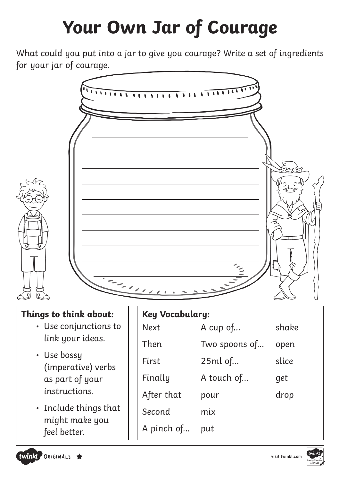# **Your Own Jar of Courage**

What could you put into a jar to give you courage? Write a set of ingredients for your jar of courage.



### **Things to think about:**

- Use conjunctions to link your ideas.
- Use bossy (imperative) verbs as part of your instructions.
- Include things that might make you feel better.

| <b>Key Vocabulary:</b> |               |       |
|------------------------|---------------|-------|
| <b>Next</b>            | A cup of      | shake |
| Then                   | Two spoons of | open  |
| First                  | 25ml of       | slice |
| Finally                | A touch of    | get   |
| After that             | pour          | drop  |
| Second                 | mix           |       |
| A pinch of             | put           |       |



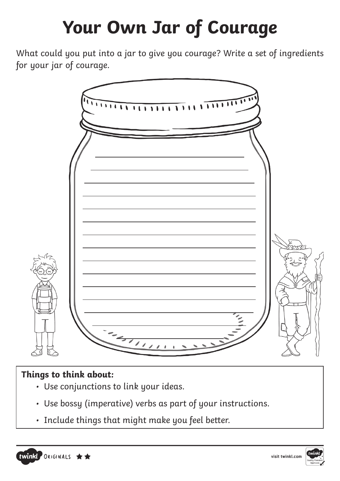## **Your Own Jar of Courage**

What could you put into a jar to give you courage? Write a set of ingredients for your jar of courage.



### **Things to think about:**

- Use conjunctions to link your ideas.
- Use bossy (imperative) verbs as part of your instructions.
- Include things that might make you feel better.